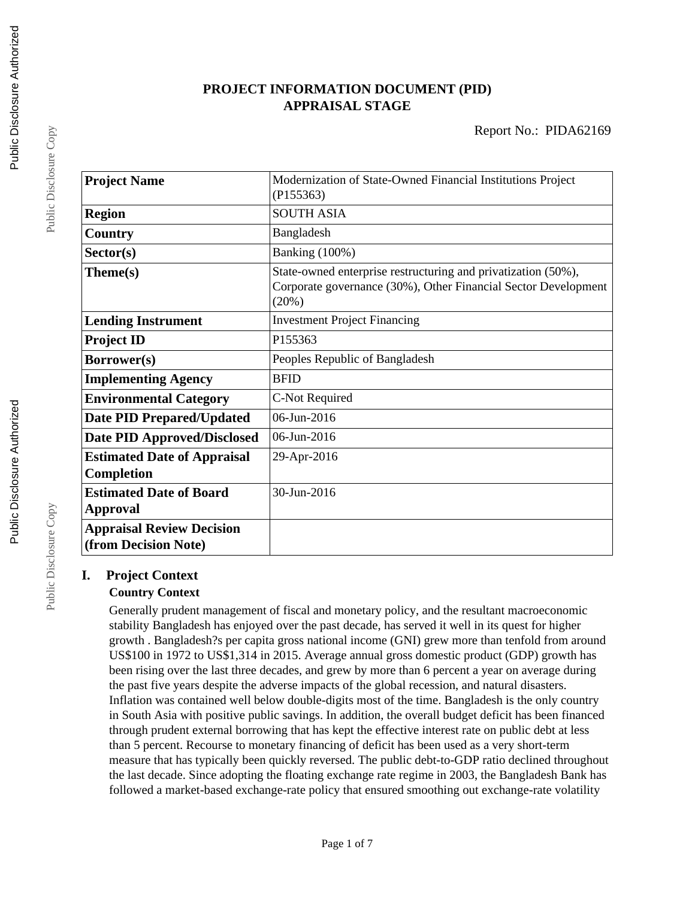# **PROJECT INFORMATION DOCUMENT (PID) APPRAISAL STAGE**

| <b>Project Name</b>                                      | Modernization of State-Owned Financial Institutions Project<br>(P155363)                                                                 |  |
|----------------------------------------------------------|------------------------------------------------------------------------------------------------------------------------------------------|--|
| <b>Region</b>                                            | <b>SOUTH ASIA</b>                                                                                                                        |  |
| Country                                                  | Bangladesh                                                                                                                               |  |
| Sector(s)                                                | Banking (100%)                                                                                                                           |  |
| Theme(s)                                                 | State-owned enterprise restructuring and privatization (50%),<br>Corporate governance (30%), Other Financial Sector Development<br>(20%) |  |
| <b>Lending Instrument</b>                                | <b>Investment Project Financing</b>                                                                                                      |  |
| <b>Project ID</b>                                        | P155363                                                                                                                                  |  |
| Borrower(s)                                              | Peoples Republic of Bangladesh                                                                                                           |  |
| <b>Implementing Agency</b>                               | <b>BFID</b>                                                                                                                              |  |
| <b>Environmental Category</b>                            | C-Not Required                                                                                                                           |  |
| <b>Date PID Prepared/Updated</b>                         | 06-Jun-2016                                                                                                                              |  |
| <b>Date PID Approved/Disclosed</b>                       | 06-Jun-2016                                                                                                                              |  |
| <b>Estimated Date of Appraisal</b><br><b>Completion</b>  | 29-Apr-2016                                                                                                                              |  |
| <b>Estimated Date of Board</b><br>Approval               | 30-Jun-2016                                                                                                                              |  |
| <b>Appraisal Review Decision</b><br>(from Decision Note) |                                                                                                                                          |  |

# **I. Project Context**

# **Country Context**

Generally prudent management of fiscal and monetary policy, and the resultant macroeconomic stability Bangladesh has enjoyed over the past decade, has served it well in its quest for higher growth . Bangladesh?s per capita gross national income (GNI) grew more than tenfold from around US\$100 in 1972 to US\$1,314 in 2015. Average annual gross domestic product (GDP) growth has been rising over the last three decades, and grew by more than 6 percent a year on average during the past five years despite the adverse impacts of the global recession, and natural disasters. Inflation was contained well below double-digits most of the time. Bangladesh is the only country in South Asia with positive public savings. In addition, the overall budget deficit has been financed through prudent external borrowing that has kept the effective interest rate on public debt at less than 5 percent. Recourse to monetary financing of deficit has been used as a very short-term measure that has typically been quickly reversed. The public debt-to-GDP ratio declined throughout the last decade. Since adopting the floating exchange rate regime in 2003, the Bangladesh Bank has followed a market-based exchange-rate policy that ensured smoothing out exchange-rate volatility

Public Disclosure Copy

Public Disclosure Copy

Public Disclosure Copy

Public Disclosure Copy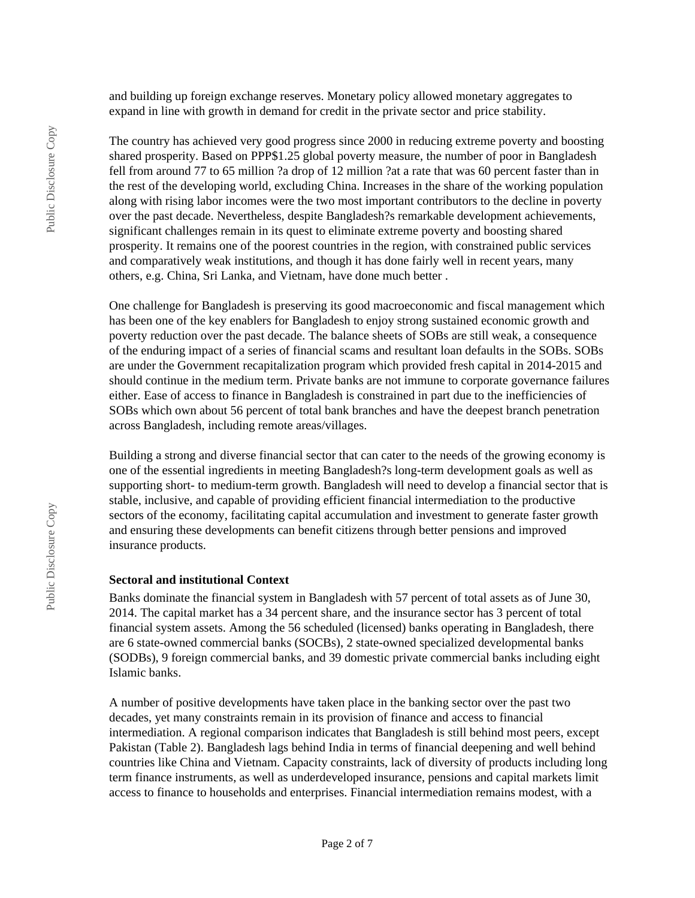and building up foreign exchange reserves. Monetary policy allowed monetary aggregates to expand in line with growth in demand for credit in the private sector and price stability.

The country has achieved very good progress since 2000 in reducing extreme poverty and boosting shared prosperity. Based on PPP\$1.25 global poverty measure, the number of poor in Bangladesh fell from around 77 to 65 million ?a drop of 12 million ?at a rate that was 60 percent faster than in the rest of the developing world, excluding China. Increases in the share of the working population along with rising labor incomes were the two most important contributors to the decline in poverty over the past decade. Nevertheless, despite Bangladesh?s remarkable development achievements, significant challenges remain in its quest to eliminate extreme poverty and boosting shared prosperity. It remains one of the poorest countries in the region, with constrained public services and comparatively weak institutions, and though it has done fairly well in recent years, many others, e.g. China, Sri Lanka, and Vietnam, have done much better .

One challenge for Bangladesh is preserving its good macroeconomic and fiscal management which has been one of the key enablers for Bangladesh to enjoy strong sustained economic growth and poverty reduction over the past decade. The balance sheets of SOBs are still weak, a consequence of the enduring impact of a series of financial scams and resultant loan defaults in the SOBs. SOBs are under the Government recapitalization program which provided fresh capital in 2014-2015 and should continue in the medium term. Private banks are not immune to corporate governance failures either. Ease of access to finance in Bangladesh is constrained in part due to the inefficiencies of SOBs which own about 56 percent of total bank branches and have the deepest branch penetration across Bangladesh, including remote areas/villages.

Building a strong and diverse financial sector that can cater to the needs of the growing economy is one of the essential ingredients in meeting Bangladesh?s long-term development goals as well as supporting short- to medium-term growth. Bangladesh will need to develop a financial sector that is stable, inclusive, and capable of providing efficient financial intermediation to the productive sectors of the economy, facilitating capital accumulation and investment to generate faster growth and ensuring these developments can benefit citizens through better pensions and improved insurance products.

#### **Sectoral and institutional Context**

Banks dominate the financial system in Bangladesh with 57 percent of total assets as of June 30, 2014. The capital market has a 34 percent share, and the insurance sector has 3 percent of total financial system assets. Among the 56 scheduled (licensed) banks operating in Bangladesh, there are 6 state-owned commercial banks (SOCBs), 2 state-owned specialized developmental banks (SODBs), 9 foreign commercial banks, and 39 domestic private commercial banks including eight Islamic banks.

A number of positive developments have taken place in the banking sector over the past two decades, yet many constraints remain in its provision of finance and access to financial intermediation. A regional comparison indicates that Bangladesh is still behind most peers, except Pakistan (Table 2). Bangladesh lags behind India in terms of financial deepening and well behind countries like China and Vietnam. Capacity constraints, lack of diversity of products including long term finance instruments, as well as underdeveloped insurance, pensions and capital markets limit access to finance to households and enterprises. Financial intermediation remains modest, with a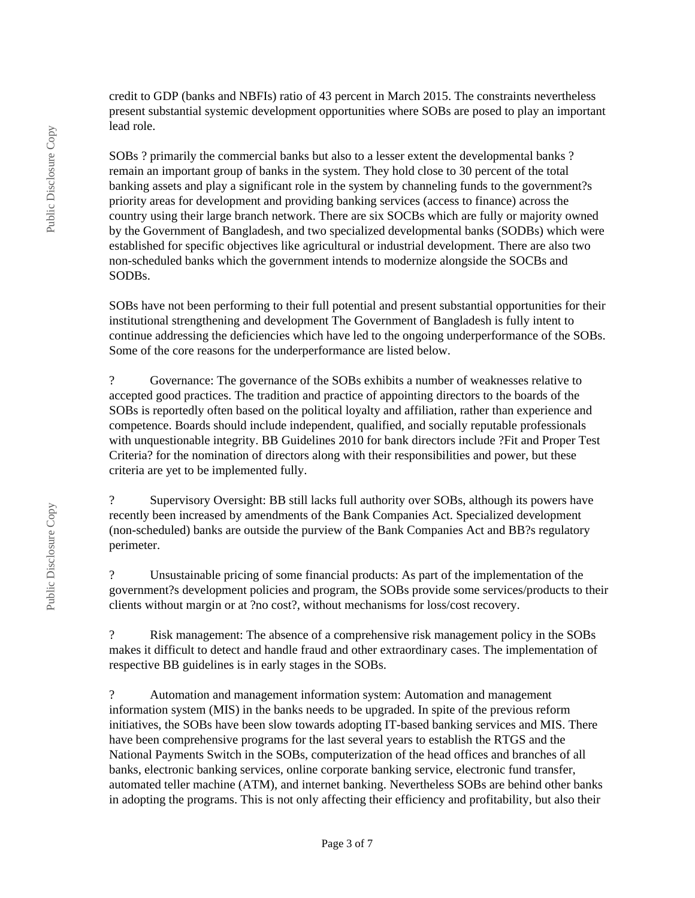credit to GDP (banks and NBFIs) ratio of 43 percent in March 2015. The constraints nevertheless present substantial systemic development opportunities where SOBs are posed to play an important lead role.

SOBs ? primarily the commercial banks but also to a lesser extent the developmental banks ? remain an important group of banks in the system. They hold close to 30 percent of the total banking assets and play a significant role in the system by channeling funds to the government?s priority areas for development and providing banking services (access to finance) across the country using their large branch network. There are six SOCBs which are fully or majority owned by the Government of Bangladesh, and two specialized developmental banks (SODBs) which were established for specific objectives like agricultural or industrial development. There are also two non-scheduled banks which the government intends to modernize alongside the SOCBs and SODBs.

SOBs have not been performing to their full potential and present substantial opportunities for their institutional strengthening and development The Government of Bangladesh is fully intent to continue addressing the deficiencies which have led to the ongoing underperformance of the SOBs. Some of the core reasons for the underperformance are listed below.

? Governance: The governance of the SOBs exhibits a number of weaknesses relative to accepted good practices. The tradition and practice of appointing directors to the boards of the SOBs is reportedly often based on the political loyalty and affiliation, rather than experience and competence. Boards should include independent, qualified, and socially reputable professionals with unquestionable integrity. BB Guidelines 2010 for bank directors include ?Fit and Proper Test Criteria? for the nomination of directors along with their responsibilities and power, but these criteria are yet to be implemented fully.

? Supervisory Oversight: BB still lacks full authority over SOBs, although its powers have recently been increased by amendments of the Bank Companies Act. Specialized development (non-scheduled) banks are outside the purview of the Bank Companies Act and BB?s regulatory perimeter.

? Unsustainable pricing of some financial products: As part of the implementation of the government?s development policies and program, the SOBs provide some services/products to their clients without margin or at ?no cost?, without mechanisms for loss/cost recovery.

? Risk management: The absence of a comprehensive risk management policy in the SOBs makes it difficult to detect and handle fraud and other extraordinary cases. The implementation of respective BB guidelines is in early stages in the SOBs.

? Automation and management information system: Automation and management information system (MIS) in the banks needs to be upgraded. In spite of the previous reform initiatives, the SOBs have been slow towards adopting IT-based banking services and MIS. There have been comprehensive programs for the last several years to establish the RTGS and the National Payments Switch in the SOBs, computerization of the head offices and branches of all banks, electronic banking services, online corporate banking service, electronic fund transfer, automated teller machine (ATM), and internet banking. Nevertheless SOBs are behind other banks in adopting the programs. This is not only affecting their efficiency and profitability, but also their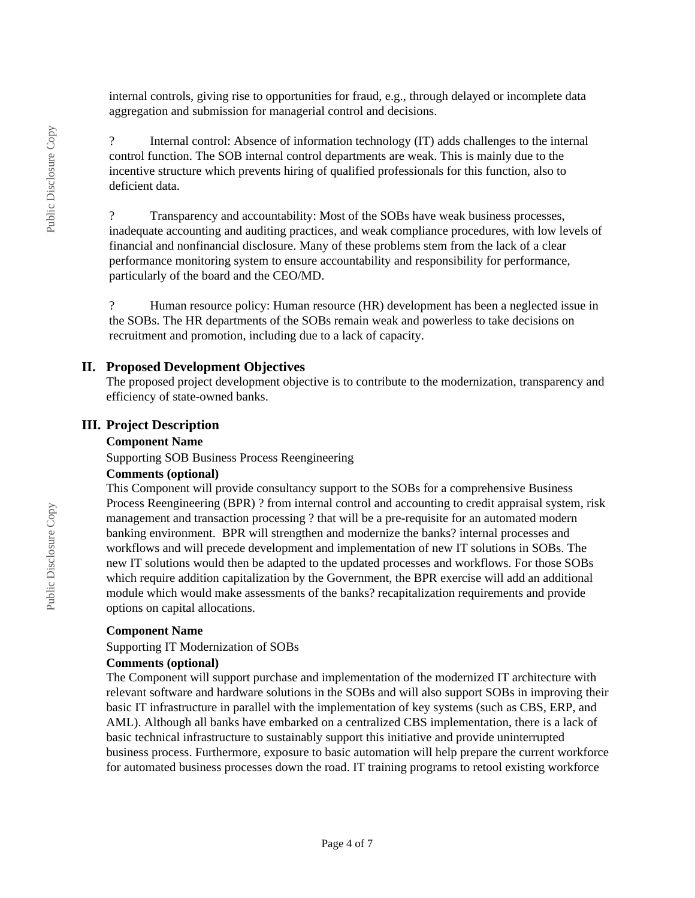internal controls, giving rise to opportunities for fraud, e.g., through delayed or incomplete data aggregation and submission for managerial control and decisions.

? Internal control: Absence of information technology (IT) adds challenges to the internal control function. The SOB internal control departments are weak. This is mainly due to the incentive structure which prevents hiring of qualified professionals for this function, also to deficient data.

? Transparency and accountability: Most of the SOBs have weak business processes, inadequate accounting and auditing practices, and weak compliance procedures, with low levels of financial and nonfinancial disclosure. Many of these problems stem from the lack of a clear performance monitoring system to ensure accountability and responsibility for performance, particularly of the board and the CEO/MD.

Human resource policy: Human resource (HR) development has been a neglected issue in the SOBs. The HR departments of the SOBs remain weak and powerless to take decisions on recruitment and promotion, including due to a lack of capacity.

### **II. Proposed Development Objectives**

The proposed project development objective is to contribute to the modernization, transparency and efficiency of state-owned banks.

# **III. Project Description**

### **Component Name**

Supporting SOB Business Process Reengineering

### **Comments (optional)**

This Component will provide consultancy support to the SOBs for a comprehensive Business Process Reengineering (BPR) ? from internal control and accounting to credit appraisal system, risk management and transaction processing ? that will be a pre-requisite for an automated modern banking environment. BPR will strengthen and modernize the banks? internal processes and workflows and will precede development and implementation of new IT solutions in SOBs. The new IT solutions would then be adapted to the updated processes and workflows. For those SOBs which require addition capitalization by the Government, the BPR exercise will add an additional module which would make assessments of the banks? recapitalization requirements and provide options on capital allocations.

#### **Component Name**

Supporting IT Modernization of SOBs

### **Comments (optional)**

The Component will support purchase and implementation of the modernized IT architecture with relevant software and hardware solutions in the SOBs and will also support SOBs in improving their basic IT infrastructure in parallel with the implementation of key systems (such as CBS, ERP, and AML). Although all banks have embarked on a centralized CBS implementation, there is a lack of basic technical infrastructure to sustainably support this initiative and provide uninterrupted business process. Furthermore, exposure to basic automation will help prepare the current workforce for automated business processes down the road. IT training programs to retool existing workforce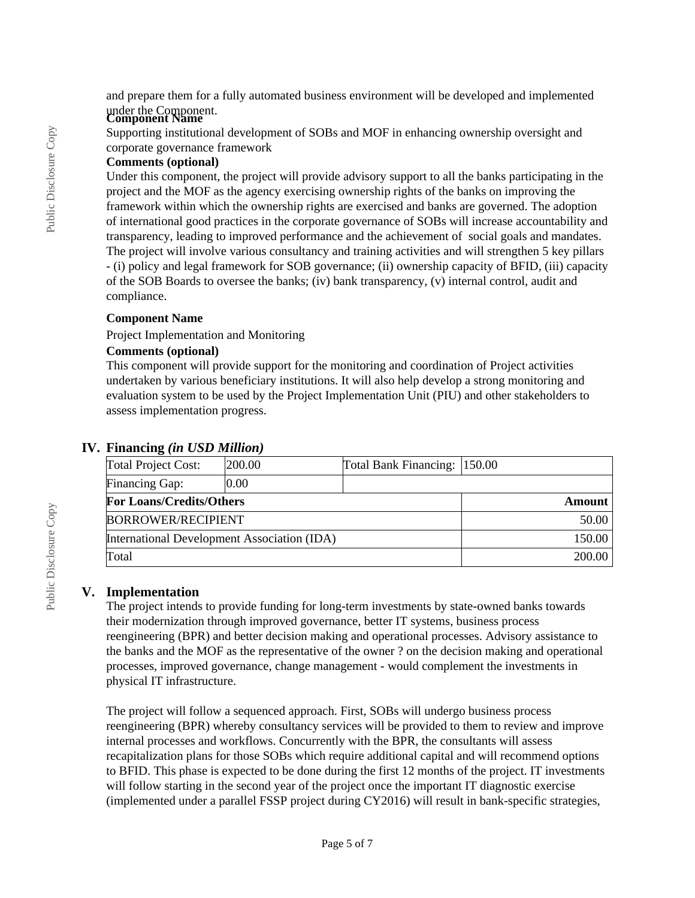and prepare them for a fully automated business environment will be developed and implemented under the Component. **Component Name**

Supporting institutional development of SOBs and MOF in enhancing ownership oversight and corporate governance framework

# **Comments (optional)**

Under this component, the project will provide advisory support to all the banks participating in the project and the MOF as the agency exercising ownership rights of the banks on improving the framework within which the ownership rights are exercised and banks are governed. The adoption of international good practices in the corporate governance of SOBs will increase accountability and transparency, leading to improved performance and the achievement of social goals and mandates. The project will involve various consultancy and training activities and will strengthen 5 key pillars - (i) policy and legal framework for SOB governance; (ii) ownership capacity of BFID, (iii) capacity of the SOB Boards to oversee the banks; (iv) bank transparency, (v) internal control, audit and compliance.

# **Component Name**

Project Implementation and Monitoring

# **Comments (optional)**

This component will provide support for the monitoring and coordination of Project activities undertaken by various beneficiary institutions. It will also help develop a strong monitoring and evaluation system to be used by the Project Implementation Unit (PIU) and other stakeholders to assess implementation progress.

| <b>Total Project Cost:</b>                  | 200.00 | Total Bank Financing: 150.00 |        |  |
|---------------------------------------------|--------|------------------------------|--------|--|
| Financing Gap:                              | 0.00   |                              |        |  |
| <b>For Loans/Credits/Others</b>             |        | Amount                       |        |  |
| <b>BORROWER/RECIPIENT</b>                   |        |                              | 50.00  |  |
| International Development Association (IDA) |        |                              | 150.00 |  |
| Total                                       |        | 200.00                       |        |  |

# **IV. Financing** *(in USD Million)*

# **V. Implementation**

The project intends to provide funding for long-term investments by state-owned banks towards their modernization through improved governance, better IT systems, business process reengineering (BPR) and better decision making and operational processes. Advisory assistance to the banks and the MOF as the representative of the owner ? on the decision making and operational processes, improved governance, change management - would complement the investments in physical IT infrastructure.

The project will follow a sequenced approach. First, SOBs will undergo business process reengineering (BPR) whereby consultancy services will be provided to them to review and improve internal processes and workflows. Concurrently with the BPR, the consultants will assess recapitalization plans for those SOBs which require additional capital and will recommend options to BFID. This phase is expected to be done during the first 12 months of the project. IT investments will follow starting in the second year of the project once the important IT diagnostic exercise (implemented under a parallel FSSP project during CY2016) will result in bank-specific strategies,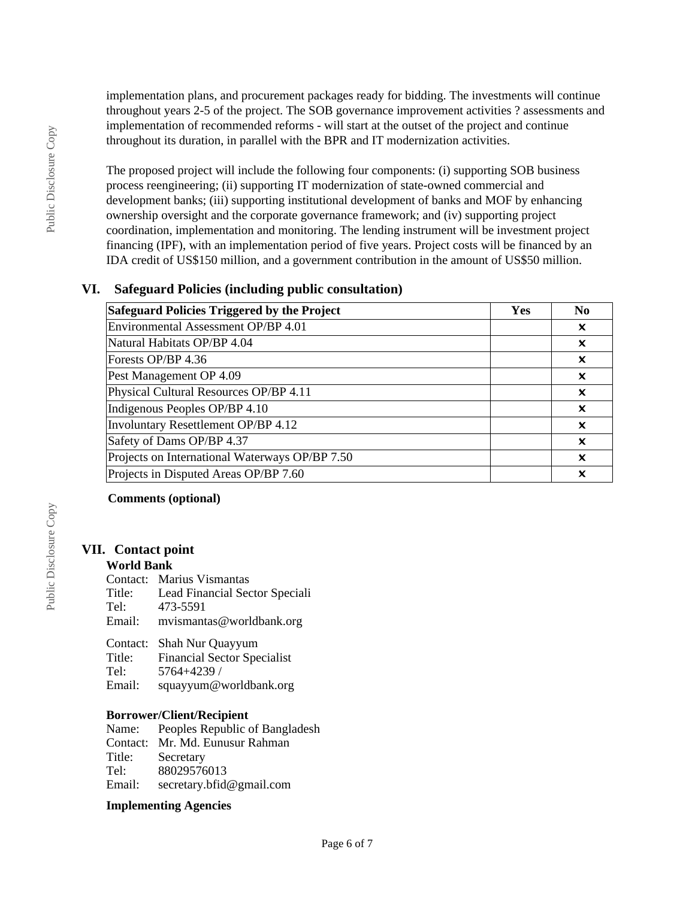implementation plans, and procurement packages ready for bidding. The investments will continue throughout years 2-5 of the project. The SOB governance improvement activities ? assessments and implementation of recommended reforms - will start at the outset of the project and continue throughout its duration, in parallel with the BPR and IT modernization activities.

The proposed project will include the following four components: (i) supporting SOB business process reengineering; (ii) supporting IT modernization of state-owned commercial and development banks; (iii) supporting institutional development of banks and MOF by enhancing ownership oversight and the corporate governance framework; and (iv) supporting project coordination, implementation and monitoring. The lending instrument will be investment project financing (IPF), with an implementation period of five years. Project costs will be financed by an IDA credit of US\$150 million, and a government contribution in the amount of US\$50 million.

# **VI. Safeguard Policies (including public consultation)**

| Safeguard Policies Triggered by the Project    | Yes | N <sub>0</sub>            |
|------------------------------------------------|-----|---------------------------|
| Environmental Assessment OP/BP 4.01            |     | $\boldsymbol{\mathsf{x}}$ |
| Natural Habitats OP/BP 4.04                    |     | $\boldsymbol{\mathsf{x}}$ |
| Forests OP/BP 4.36                             |     | $\boldsymbol{\mathsf{x}}$ |
| Pest Management OP 4.09                        |     | $\boldsymbol{\mathsf{x}}$ |
| Physical Cultural Resources OP/BP 4.11         |     | $\boldsymbol{\mathsf{x}}$ |
| Indigenous Peoples OP/BP 4.10                  |     | $\boldsymbol{\mathsf{x}}$ |
| Involuntary Resettlement OP/BP 4.12            |     | ×                         |
| Safety of Dams OP/BP 4.37                      |     | $\boldsymbol{\mathsf{x}}$ |
| Projects on International Waterways OP/BP 7.50 |     | $\boldsymbol{\mathsf{x}}$ |
| Projects in Disputed Areas OP/BP 7.60          |     | X                         |

### **Comments (optional)**

# **VII. Contact point**

### **World Bank**

|        | Contact: Marius Vismantas      |
|--------|--------------------------------|
| Title: | Lead Financial Sector Speciali |
| Tel:   | 473-5591                       |
| Email: | mvismantas@worldbank.org       |
|        |                                |

|        | Contact: Shah Nur Quayyum          |
|--------|------------------------------------|
| Title: | <b>Financial Sector Specialist</b> |
| Tel:   | 5764+4239 /                        |
| Email: | squayyum@worldbank.org             |

# **Borrower/Client/Recipient**<br>Name: Peoples Republic

Peoples Republic of Bangladesh Contact: Mr. Md. Eunusur Rahman Secretary Tel: 88029576013 Email: secretary.bfid@gmail.com

### **Implementing Agencies**